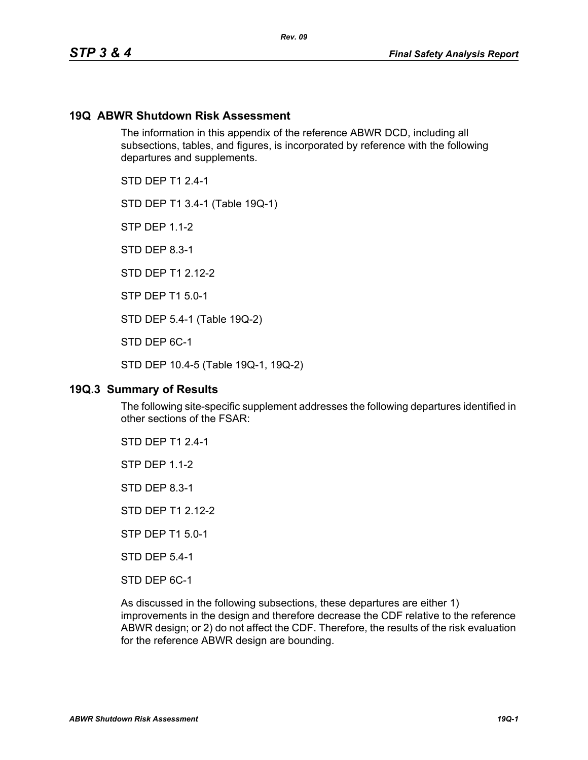#### **19Q ABWR Shutdown Risk Assessment**

The information in this appendix of the reference ABWR DCD, including all subsections, tables, and figures, is incorporated by reference with the following departures and supplements.

*Rev. 09*

STD DFP T1 2 4-1

STD DEP T1 3.4-1 (Table 19Q-1)

STP DEP 1.1-2

STD DEP 8.3-1

STD DFP T1 2 12-2

STP DEP T1 5.0-1

STD DEP 5.4-1 (Table 19Q-2)

STD DEP 6C-1

STD DEP 10.4-5 (Table 19Q-1, 19Q-2)

#### **19Q.3 Summary of Results**

The following site-specific supplement addresses the following departures identified in other sections of the FSAR:

STD DEP T1 2.4-1

STP DEP 1.1-2

STD DEP 8.3-1

STD DEP T1 2.12-2

STP DEP T1 5.0-1

STD DEP 5.4-1

STD DEP 6C-1

As discussed in the following subsections, these departures are either 1) improvements in the design and therefore decrease the CDF relative to the reference ABWR design; or 2) do not affect the CDF. Therefore, the results of the risk evaluation for the reference ABWR design are bounding.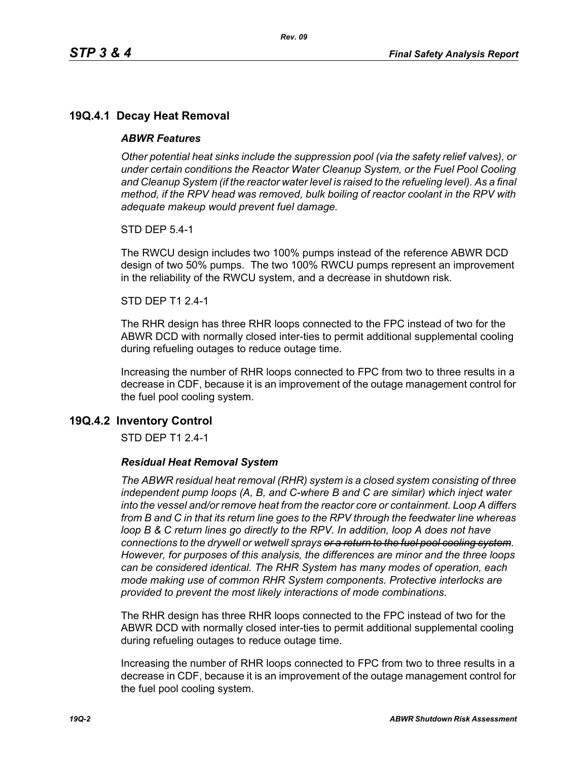# **19Q.4.1 Decay Heat Removal**

#### *ABWR Features*

*Other potential heat sinks include the suppression pool (via the safety relief valves), or under certain conditions the Reactor Water Cleanup System, or the Fuel Pool Cooling*  and Cleanup System (if the reactor water level is raised to the refueling level). As a final *method, if the RPV head was removed, bulk boiling of reactor coolant in the RPV with adequate makeup would prevent fuel damage.*

STD DEP 5.4-1

The RWCU design includes two 100% pumps instead of the reference ABWR DCD design of two 50% pumps. The two 100% RWCU pumps represent an improvement in the reliability of the RWCU system, and a decrease in shutdown risk.

#### STD DEP T1 2.4-1

The RHR design has three RHR loops connected to the FPC instead of two for the ABWR DCD with normally closed inter-ties to permit additional supplemental cooling during refueling outages to reduce outage time.

Increasing the number of RHR loops connected to FPC from two to three results in a decrease in CDF, because it is an improvement of the outage management control for the fuel pool cooling system.

## **19Q.4.2 Inventory Control**

STD DEP T1 2.4-1

#### *Residual Heat Removal System*

*The ABWR residual heat removal (RHR) system is a closed system consisting of three independent pump loops (A, B, and C-where B and C are similar) which inject water into the vessel and/or remove heat from the reactor core or containment. Loop A differs from B and C in that its return line goes to the RPV through the feedwater line whereas loop B & C return lines go directly to the RPV. In addition, loop A does not have connections to the drywell or wetwell sprays or a return to the fuel pool cooling system. However, for purposes of this analysis, the differences are minor and the three loops can be considered identical. The RHR System has many modes of operation, each mode making use of common RHR System components. Protective interlocks are provided to prevent the most likely interactions of mode combinations.*

The RHR design has three RHR loops connected to the FPC instead of two for the ABWR DCD with normally closed inter-ties to permit additional supplemental cooling during refueling outages to reduce outage time.

Increasing the number of RHR loops connected to FPC from two to three results in a decrease in CDF, because it is an improvement of the outage management control for the fuel pool cooling system.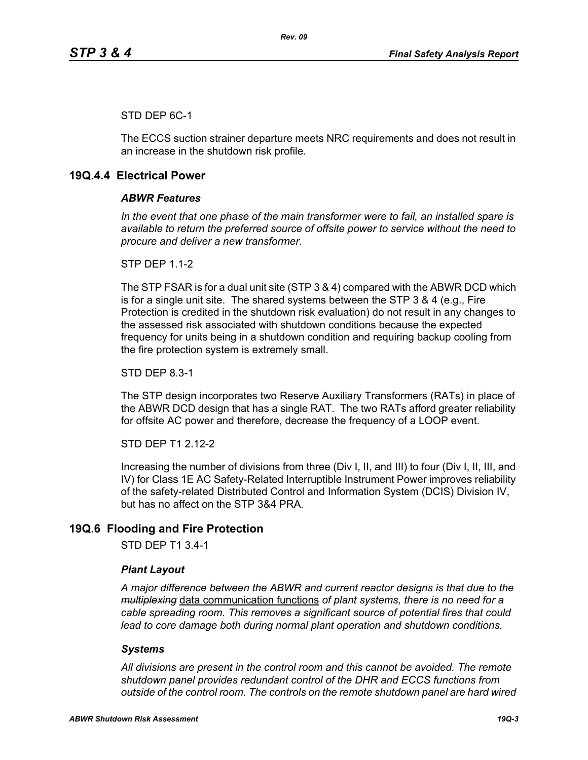## STD DEP 6C-1

The ECCS suction strainer departure meets NRC requirements and does not result in an increase in the shutdown risk profile.

## **19Q.4.4 Electrical Power**

#### *ABWR Features*

*In the event that one phase of the main transformer were to fail, an installed spare is available to return the preferred source of offsite power to service without the need to procure and deliver a new transformer.*

**STP DFP 1 1-2** 

The STP FSAR is for a dual unit site (STP 3 & 4) compared with the ABWR DCD which is for a single unit site. The shared systems between the STP 3 & 4 (e.g., Fire Protection is credited in the shutdown risk evaluation) do not result in any changes to the assessed risk associated with shutdown conditions because the expected frequency for units being in a shutdown condition and requiring backup cooling from the fire protection system is extremely small.

STD DEP 8.3-1

The STP design incorporates two Reserve Auxiliary Transformers (RATs) in place of the ABWR DCD design that has a single RAT. The two RATs afford greater reliability for offsite AC power and therefore, decrease the frequency of a LOOP event.

STD DEP T1 2.12-2

Increasing the number of divisions from three (Div I, II, and III) to four (Div I, II, III, and IV) for Class 1E AC Safety-Related Interruptible Instrument Power improves reliability of the safety-related Distributed Control and Information System (DCIS) Division IV, but has no affect on the STP 3&4 PRA.

# **19Q.6 Flooding and Fire Protection**

STD DEP T1 3.4-1

#### *Plant Layout*

*A major difference between the ABWR and current reactor designs is that due to the multiplexing* data communication functions *of plant systems, there is no need for a cable spreading room. This removes a significant source of potential fires that could lead to core damage both during normal plant operation and shutdown conditions.*

#### *Systems*

*All divisions are present in the control room and this cannot be avoided. The remote shutdown panel provides redundant control of the DHR and ECCS functions from outside of the control room. The controls on the remote shutdown panel are hard wired*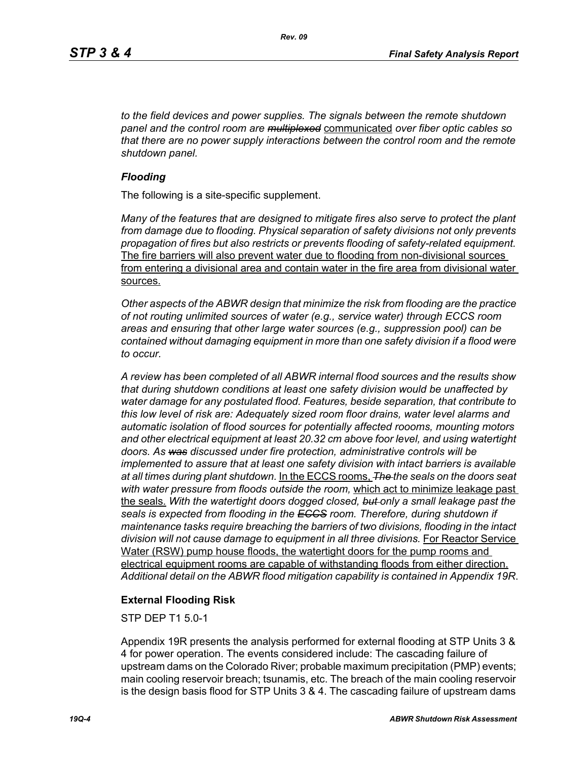*to the field devices and power supplies. The signals between the remote shutdown panel and the control room are multiplexed* communicated *over fiber optic cables so that there are no power supply interactions between the control room and the remote shutdown panel.*

#### *Flooding*

The following is a site-specific supplement.

*Many of the features that are designed to mitigate fires also serve to protect the plant from damage due to flooding. Physical separation of safety divisions not only prevents propagation of fires but also restricts or prevents flooding of safety-related equipment.*  The fire barriers will also prevent water due to flooding from non-divisional sources from entering a divisional area and contain water in the fire area from divisional water sources.

*Other aspects of the ABWR design that minimize the risk from flooding are the practice of not routing unlimited sources of water (e.g., service water) through ECCS room areas and ensuring that other large water sources (e.g., suppression pool) can be contained without damaging equipment in more than one safety division if a flood were to occur.*

*A review has been completed of all ABWR internal flood sources and the results show that during shutdown conditions at least one safety division would be unaffected by water damage for any postulated flood. Features, beside separation, that contribute to this low level of risk are: Adequately sized room floor drains, water level alarms and automatic isolation of flood sources for potentially affected roooms, mounting motors and other electrical equipment at least 20.32 cm above foor level, and using watertight doors. As was discussed under fire protection, administrative controls will be implemented to assure that at least one safety division with intact barriers is available at all times during plant shutdown.* In the ECCS rooms, *The the seals on the doors seat with water pressure from floods outside the room,* which act to minimize leakage past the seals. *With the watertight doors dogged closed, but only a small leakage past the seals is expected from flooding in the ECCS room. Therefore, during shutdown if maintenance tasks require breaching the barriers of two divisions, flooding in the intact*  division will not cause damage to equipment in all three divisions. For Reactor Service Water (RSW) pump house floods, the watertight doors for the pump rooms and electrical equipment rooms are capable of withstanding floods from either direction. *Additional detail on the ABWR flood mitigation capability is contained in Appendix 19R*.

## **External Flooding Risk**

STP DEP T1 5.0-1

Appendix 19R presents the analysis performed for external flooding at STP Units 3 & 4 for power operation. The events considered include: The cascading failure of upstream dams on the Colorado River; probable maximum precipitation (PMP) events; main cooling reservoir breach; tsunamis, etc. The breach of the main cooling reservoir is the design basis flood for STP Units 3 & 4. The cascading failure of upstream dams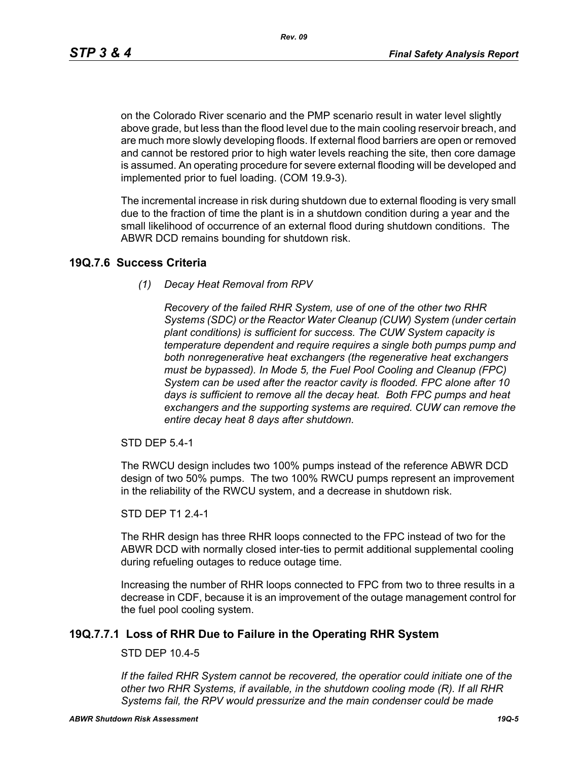*Rev. 09*

on the Colorado River scenario and the PMP scenario result in water level slightly above grade, but less than the flood level due to the main cooling reservoir breach, and are much more slowly developing floods. If external flood barriers are open or removed and cannot be restored prior to high water levels reaching the site, then core damage is assumed. An operating procedure for severe external flooding will be developed and implemented prior to fuel loading. (COM 19.9-3).

The incremental increase in risk during shutdown due to external flooding is very small due to the fraction of time the plant is in a shutdown condition during a year and the small likelihood of occurrence of an external flood during shutdown conditions. The ABWR DCD remains bounding for shutdown risk.

## **19Q.7.6 Success Criteria**

*(1) Decay Heat Removal from RPV*

*Recovery of the failed RHR System, use of one of the other two RHR Systems (SDC) or the Reactor Water Cleanup (CUW) System (under certain plant conditions) is sufficient for success. The CUW System capacity is temperature dependent and require requires a single both pumps pump and both nonregenerative heat exchangers (the regenerative heat exchangers must be bypassed). In Mode 5, the Fuel Pool Cooling and Cleanup (FPC) System can be used after the reactor cavity is flooded. FPC alone after 10 days is sufficient to remove all the decay heat. Both FPC pumps and heat exchangers and the supporting systems are required. CUW can remove the entire decay heat 8 days after shutdown.*

STD DEP 5.4-1

The RWCU design includes two 100% pumps instead of the reference ABWR DCD design of two 50% pumps. The two 100% RWCU pumps represent an improvement in the reliability of the RWCU system, and a decrease in shutdown risk.

#### STD DEP T1 2.4-1

The RHR design has three RHR loops connected to the FPC instead of two for the ABWR DCD with normally closed inter-ties to permit additional supplemental cooling during refueling outages to reduce outage time.

Increasing the number of RHR loops connected to FPC from two to three results in a decrease in CDF, because it is an improvement of the outage management control for the fuel pool cooling system.

# **19Q.7.7.1 Loss of RHR Due to Failure in the Operating RHR System**

## STD DEP 10.4-5

*If the failed RHR System cannot be recovered, the operatior could initiate one of the other two RHR Systems, if available, in the shutdown cooling mode (R). If all RHR Systems fail, the RPV would pressurize and the main condenser could be made*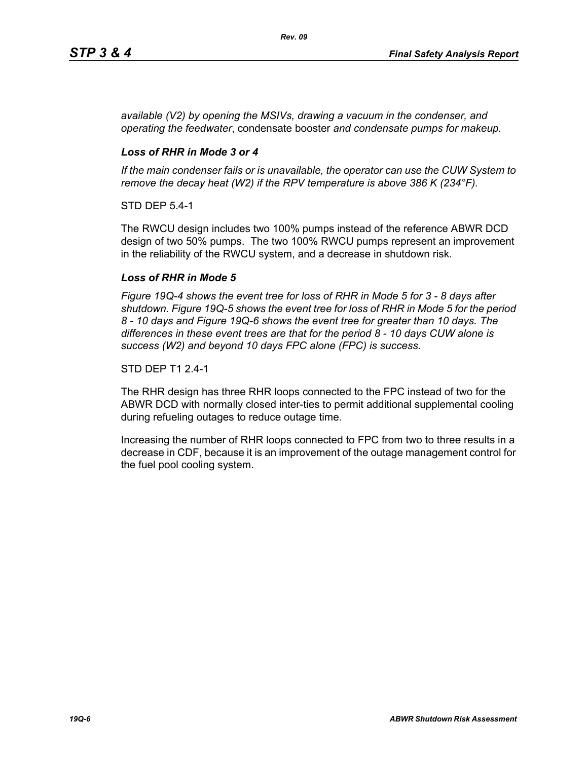*available (V2) by opening the MSIVs, drawing a vacuum in the condenser, and operating the feedwater*, condensate booster *and condensate pumps for makeup.*

## *Loss of RHR in Mode 3 or 4*

*If the main condenser fails or is unavailable, the operator can use the CUW System to remove the decay heat (W2) if the RPV temperature is above 386 K (234°F).*

STD DEP 5.4-1

The RWCU design includes two 100% pumps instead of the reference ABWR DCD design of two 50% pumps. The two 100% RWCU pumps represent an improvement in the reliability of the RWCU system, and a decrease in shutdown risk.

## *Loss of RHR in Mode 5*

*Figure 19Q-4 shows the event tree for loss of RHR in Mode 5 for 3 - 8 days after shutdown. Figure 19Q-5 shows the event tree for loss of RHR in Mode 5 for the period 8 - 10 days and Figure 19Q-6 shows the event tree for greater than 10 days. The differences in these event trees are that for the period 8 - 10 days CUW alone is success (W2) and beyond 10 days FPC alone (FPC) is success.*

#### STD DEP T1 2.4-1

The RHR design has three RHR loops connected to the FPC instead of two for the ABWR DCD with normally closed inter-ties to permit additional supplemental cooling during refueling outages to reduce outage time.

Increasing the number of RHR loops connected to FPC from two to three results in a decrease in CDF, because it is an improvement of the outage management control for the fuel pool cooling system.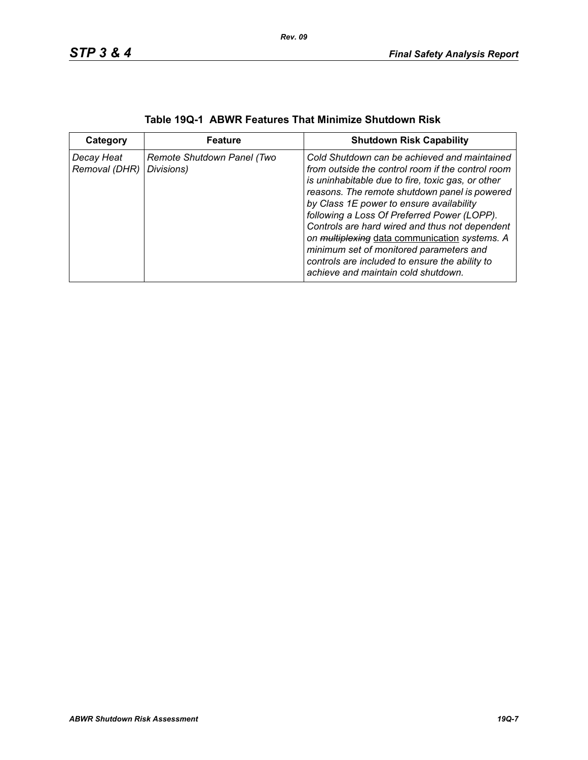| Category                    | <b>Feature</b>                           | <b>Shutdown Risk Capability</b>                                                                                                                                                                                                                                                                                                                                                                                                                                                                                                           |
|-----------------------------|------------------------------------------|-------------------------------------------------------------------------------------------------------------------------------------------------------------------------------------------------------------------------------------------------------------------------------------------------------------------------------------------------------------------------------------------------------------------------------------------------------------------------------------------------------------------------------------------|
| Decay Heat<br>Removal (DHR) | Remote Shutdown Panel (Two<br>Divisions) | Cold Shutdown can be achieved and maintained<br>from outside the control room if the control room<br>is uninhabitable due to fire, toxic gas, or other<br>reasons. The remote shutdown panel is powered<br>by Class 1E power to ensure availability<br>following a Loss Of Preferred Power (LOPP).<br>Controls are hard wired and thus not dependent<br>on multiplexing data communication systems. A<br>minimum set of monitored parameters and<br>controls are included to ensure the ability to<br>achieve and maintain cold shutdown. |

| Table 19Q-1 ABWR Features That Minimize Shutdown Risk |  |
|-------------------------------------------------------|--|
|-------------------------------------------------------|--|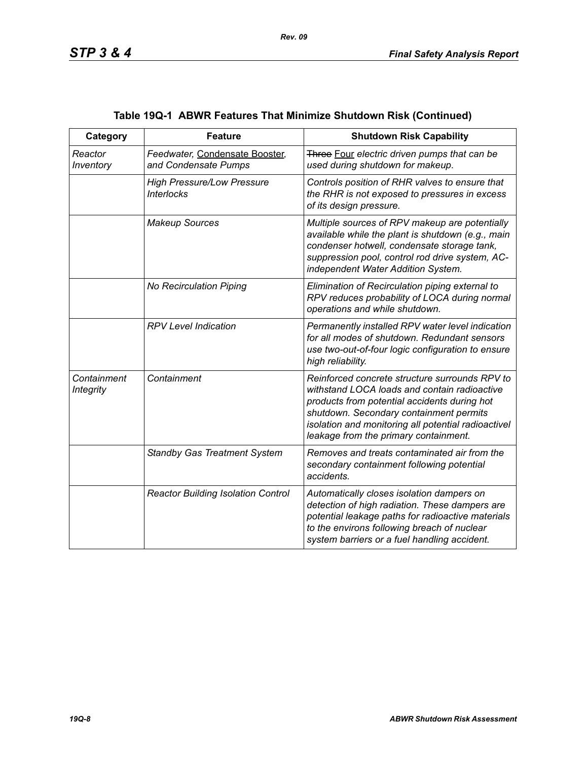| Category                        | <b>Feature</b>                                         | <b>Shutdown Risk Capability</b>                                                                                                                                                                                                                                                           |
|---------------------------------|--------------------------------------------------------|-------------------------------------------------------------------------------------------------------------------------------------------------------------------------------------------------------------------------------------------------------------------------------------------|
| Reactor<br>Inventory            | Feedwater, Condensate Booster,<br>and Condensate Pumps | Three Four electric driven pumps that can be<br>used during shutdown for makeup.                                                                                                                                                                                                          |
|                                 | <b>High Pressure/Low Pressure</b><br><b>Interlocks</b> | Controls position of RHR valves to ensure that<br>the RHR is not exposed to pressures in excess<br>of its design pressure.                                                                                                                                                                |
|                                 | <b>Makeup Sources</b>                                  | Multiple sources of RPV makeup are potentially<br>available while the plant is shutdown (e.g., main<br>condenser hotwell, condensate storage tank,<br>suppression pool, control rod drive system, AC-<br>independent Water Addition System.                                               |
|                                 | No Recirculation Piping                                | Elimination of Recirculation piping external to<br>RPV reduces probability of LOCA during normal<br>operations and while shutdown.                                                                                                                                                        |
|                                 | <b>RPV Level Indication</b>                            | Permanently installed RPV water level indication<br>for all modes of shutdown. Redundant sensors<br>use two-out-of-four logic configuration to ensure<br>high reliability.                                                                                                                |
| Containment<br><b>Integrity</b> | Containment                                            | Reinforced concrete structure surrounds RPV to<br>withstand LOCA loads and contain radioactive<br>products from potential accidents during hot<br>shutdown. Secondary containment permits<br>isolation and monitoring all potential radioactivel<br>leakage from the primary containment. |
|                                 | <b>Standby Gas Treatment System</b>                    | Removes and treats contaminated air from the<br>secondary containment following potential<br>accidents.                                                                                                                                                                                   |
|                                 | <b>Reactor Building Isolation Control</b>              | Automatically closes isolation dampers on<br>detection of high radiation. These dampers are<br>potential leakage paths for radioactive materials<br>to the environs following breach of nuclear<br>system barriers or a fuel handling accident.                                           |

# **Table 19Q-1 ABWR Features That Minimize Shutdown Risk (Continued)**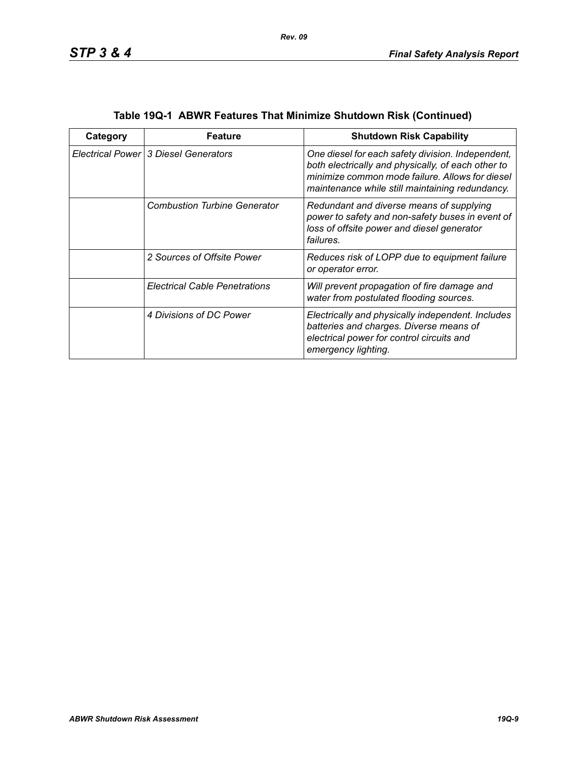| Category | Feature                              | <b>Shutdown Risk Capability</b>                                                                                                                                                                               |
|----------|--------------------------------------|---------------------------------------------------------------------------------------------------------------------------------------------------------------------------------------------------------------|
|          | Electrical Power 3 Diesel Generators | One diesel for each safety division. Independent,<br>both electrically and physically, of each other to<br>minimize common mode failure. Allows for diesel<br>maintenance while still maintaining redundancy. |
|          | <b>Combustion Turbine Generator</b>  | Redundant and diverse means of supplying<br>power to safety and non-safety buses in event of<br>loss of offsite power and diesel generator<br>failures.                                                       |
|          | 2 Sources of Offsite Power           | Reduces risk of LOPP due to equipment failure<br>or operator error.                                                                                                                                           |
|          | <b>Electrical Cable Penetrations</b> | Will prevent propagation of fire damage and<br>water from postulated flooding sources.                                                                                                                        |
|          | 4 Divisions of DC Power              | Electrically and physically independent. Includes<br>batteries and charges. Diverse means of<br>electrical power for control circuits and<br>emergency lighting.                                              |

| Table 19Q-1 ABWR Features That Minimize Shutdown Risk (Continued) |  |  |
|-------------------------------------------------------------------|--|--|
|                                                                   |  |  |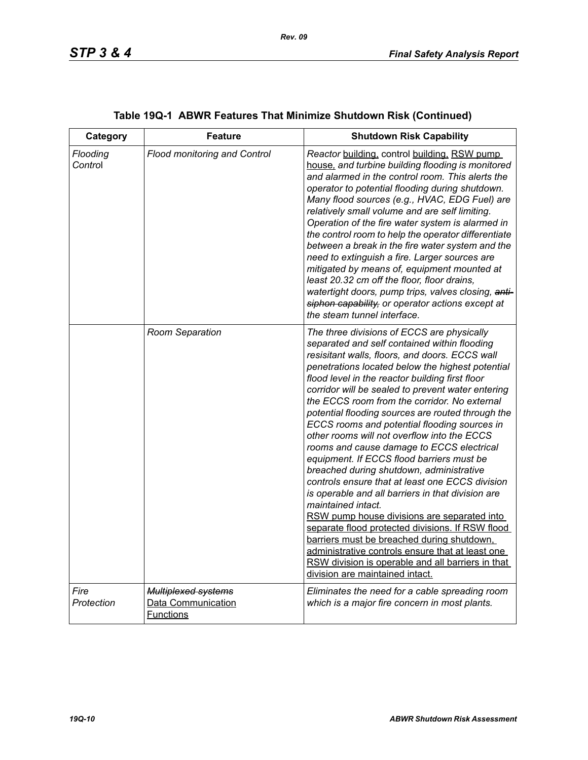| Category            | <b>Feature</b>                                                       | <b>Shutdown Risk Capability</b>                                                                                                                                                                                                                                                                                                                                                                                                                                                                                                                                                                                                                                                                                                                                                                                                                                                                                                                                                                                                                                               |
|---------------------|----------------------------------------------------------------------|-------------------------------------------------------------------------------------------------------------------------------------------------------------------------------------------------------------------------------------------------------------------------------------------------------------------------------------------------------------------------------------------------------------------------------------------------------------------------------------------------------------------------------------------------------------------------------------------------------------------------------------------------------------------------------------------------------------------------------------------------------------------------------------------------------------------------------------------------------------------------------------------------------------------------------------------------------------------------------------------------------------------------------------------------------------------------------|
| Flooding<br>Control | <b>Flood monitoring and Control</b>                                  | Reactor building, control building, RSW pump<br>house, and turbine building flooding is monitored<br>and alarmed in the control room. This alerts the<br>operator to potential flooding during shutdown.<br>Many flood sources (e.g., HVAC, EDG Fuel) are<br>relatively small volume and are self limiting.<br>Operation of the fire water system is alarmed in<br>the control room to help the operator differentiate<br>between a break in the fire water system and the<br>need to extinguish a fire. Larger sources are<br>mitigated by means of, equipment mounted at<br>least 20.32 cm off the floor, floor drains,<br>watertight doors, pump trips, valves closing, anti-<br>siphon capability, or operator actions except at<br>the steam tunnel interface.                                                                                                                                                                                                                                                                                                           |
|                     | Room Separation                                                      | The three divisions of ECCS are physically<br>separated and self contained within flooding<br>resisitant walls, floors, and doors. ECCS wall<br>penetrations located below the highest potential<br>flood level in the reactor building first floor<br>corridor will be sealed to prevent water entering<br>the ECCS room from the corridor. No external<br>potential flooding sources are routed through the<br>ECCS rooms and potential flooding sources in<br>other rooms will not overflow into the ECCS<br>rooms and cause damage to ECCS electrical<br>equipment. If ECCS flood barriers must be<br>breached during shutdown, administrative<br>controls ensure that at least one ECCS division<br>is operable and all barriers in that division are<br>maintained intact.<br>RSW pump house divisions are separated into<br>separate flood protected divisions. If RSW flood<br>barriers must be breached during shutdown,<br>administrative controls ensure that at least one<br>RSW division is operable and all barriers in that<br>division are maintained intact. |
| Fire<br>Protection  | <b>Multiplexed systems</b><br>Data Communication<br><b>Functions</b> | Eliminates the need for a cable spreading room<br>which is a major fire concern in most plants.                                                                                                                                                                                                                                                                                                                                                                                                                                                                                                                                                                                                                                                                                                                                                                                                                                                                                                                                                                               |

# **Table 19Q-1 ABWR Features That Minimize Shutdown Risk (Continued)**

*Rev. 09*